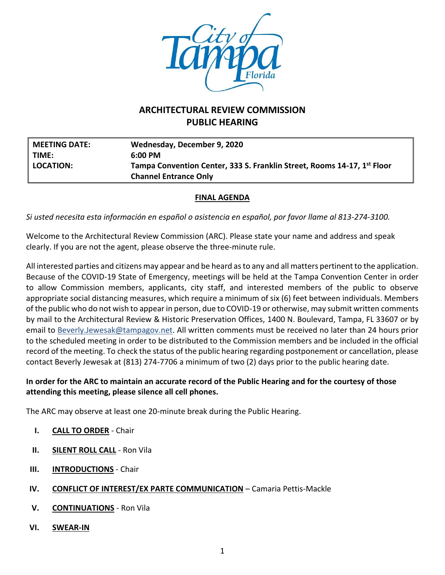

# **ARCHITECTURAL REVIEW COMMISSION PUBLIC HEARING**

| <b>MEETING DATE:</b> | Wednesday, December 9, 2020                                             |
|----------------------|-------------------------------------------------------------------------|
| TIME:                | $6:00 \text{ PM}$                                                       |
| LOCATION:            | Tampa Convention Center, 333 S. Franklin Street, Rooms 14-17, 1st Floor |
|                      | <b>Channel Entrance Only</b>                                            |

## **FINAL AGENDA**

*Si usted necesita esta información en español o asistencia en español, por favor llame al 813-274-3100.*

Welcome to the Architectural Review Commission (ARC). Please state your name and address and speak clearly. If you are not the agent, please observe the three-minute rule.

All interested parties and citizens may appear and be heard as to any and all matters pertinent to the application. Because of the COVID-19 State of Emergency, meetings will be held at the Tampa Convention Center in order to allow Commission members, applicants, city staff, and interested members of the public to observe appropriate social distancing measures, which require a minimum of six (6) feet between individuals. Members of the public who do not wish to appear in person, due to COVID-19 or otherwise, may submit written comments by mail to the Architectural Review & Historic Preservation Offices, 1400 N. Boulevard, Tampa, FL 33607 or by email to [Beverly.Jewesak@tampagov.net.](mailto:Beverly.Jewesak@tampagov.net) All written comments must be received no later than 24 hours prior to the scheduled meeting in order to be distributed to the Commission members and be included in the official record of the meeting. To check the status of the public hearing regarding postponement or cancellation, please contact Beverly Jewesak at (813) 274-7706 a minimum of two (2) days prior to the public hearing date.

## **In order for the ARC to maintain an accurate record of the Public Hearing and for the courtesy of those attending this meeting, please silence all cell phones.**

The ARC may observe at least one 20-minute break during the Public Hearing.

- **I. CALL TO ORDER** Chair
- **II. SILENT ROLL CALL** Ron Vila
- **III. INTRODUCTIONS** Chair
- **IV. CONFLICT OF INTEREST/EX PARTE COMMUNICATION** Camaria Pettis-Mackle
- **V. CONTINUATIONS** Ron Vila
- **VI. SWEAR-IN**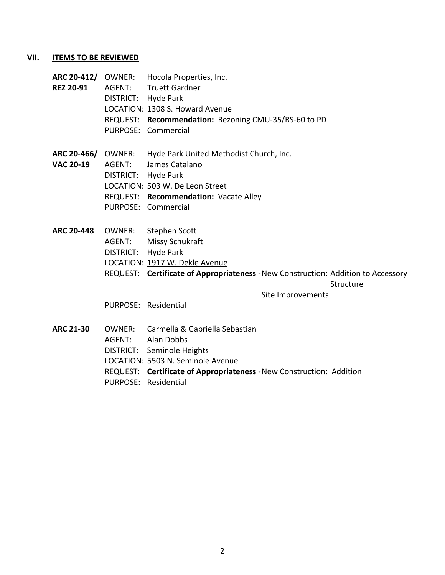#### **VII. ITEMS TO BE REVIEWED**

- **ARC 20-412/** OWNER: Hocola Properties, Inc. **REZ 20-91** AGENT: Truett Gardner DISTRICT: Hyde Park LOCATION: 1308 S. Howard Avenue REQUEST: **Recommendation:** Rezoning CMU-35/RS-60 to PD PURPOSE: Commercial
- **ARC 20-466/** OWNER: Hyde Park United Methodist Church, Inc.
- **VAC 20-19** AGENT: James Catalano
	- DISTRICT: Hyde Park
		- LOCATION: 503 W. De Leon Street
		- REQUEST: **Recommendation:** Vacate Alley
		- PURPOSE: Commercial
- **ARC 20-448** OWNER: Stephen Scott
	- AGENT: Missy Schukraft
		- DISTRICT: Hyde Park
		- LOCATION: 1917 W. Dekle Avenue
		- REQUEST: **Certificate of Appropriateness** -New Construction: Addition to Accessory

#### **Structure**

Site Improvements

PURPOSE: Residential

**ARC 21-30** OWNER: Carmella & Gabriella Sebastian AGENT: Alan Dobbs DISTRICT: Seminole Heights LOCATION: 5503 N. Seminole Avenue REQUEST: **Certificate of Appropriateness** -New Construction: Addition PURPOSE: Residential